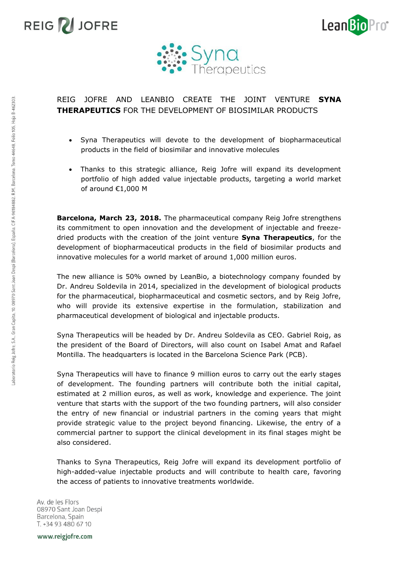





## REIG JOFRE AND LEANBIO CREATE THE JOINT VENTURE **SYNA THERAPEUTICS** FOR THE DEVELOPMENT OF BIOSIMILAR PRODUCTS

- Syna Therapeutics will devote to the development of biopharmaceutical products in the field of biosimilar and innovative molecules
- Thanks to this strategic alliance, Reig Jofre will expand its development portfolio of high added value injectable products, targeting a world market of around €1,000 M

**Barcelona, March 23, 2018.** The pharmaceutical company Reig Jofre strengthens its commitment to open innovation and the development of injectable and freezedried products with the creation of the joint venture **Syna Therapeutics**, for the development of biopharmaceutical products in the field of biosimilar products and innovative molecules for a world market of around 1,000 million euros.

The new alliance is 50% owned by LeanBio, a biotechnology company founded by Dr. Andreu Soldevila in 2014, specialized in the development of biological products for the pharmaceutical, biopharmaceutical and cosmetic sectors, and by Reig Jofre, who will provide its extensive expertise in the formulation, stabilization and pharmaceutical development of biological and injectable products.

Syna Therapeutics will be headed by Dr. Andreu Soldevila as CEO. Gabriel Roig, as the president of the Board of Directors, will also count on Isabel Amat and Rafael Montilla. The headquarters is located in the Barcelona Science Park (PCB).

Syna Therapeutics will have to finance 9 million euros to carry out the early stages of development. The founding partners will contribute both the initial capital, estimated at 2 million euros, as well as work, knowledge and experience. The joint venture that starts with the support of the two founding partners, will also consider the entry of new financial or industrial partners in the coming years that might provide strategic value to the project beyond financing. Likewise, the entry of a commercial partner to support the clinical development in its final stages might be also considered.

Thanks to Syna Therapeutics, Reig Jofre will expand its development portfolio of high-added-value injectable products and will contribute to health care, favoring the access of patients to innovative treatments worldwide.

Av. de les Flors 08970 Sant Joan Despi Barcelona, Spain T. +34 93 480 67 10

Laboratorio Reig Jofre, S.A., Gran Capita, 10. 08970 Sant Joan Despi (Barcelona), España. CIF A-96184882. R.M. Barcelona. Tomo 44648, Folio 105, Hoja B-462303

www.reigjofre.com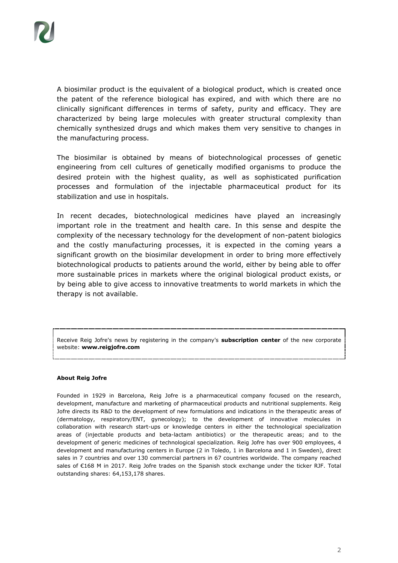A biosimilar product is the equivalent of a biological product, which is created once the patent of the reference biological has expired, and with which there are no clinically significant differences in terms of safety, purity and efficacy. They are characterized by being large molecules with greater structural complexity than chemically synthesized drugs and which makes them very sensitive to changes in the manufacturing process.

The biosimilar is obtained by means of biotechnological processes of genetic engineering from cell cultures of genetically modified organisms to produce the desired protein with the highest quality, as well as sophisticated purification processes and formulation of the injectable pharmaceutical product for its stabilization and use in hospitals.

In recent decades, biotechnological medicines have played an increasingly important role in the treatment and health care. In this sense and despite the complexity of the necessary technology for the development of non-patent biologics and the costly manufacturing processes, it is expected in the coming years a significant growth on the biosimilar development in order to bring more effectively biotechnological products to patients around the world, either by being able to offer more sustainable prices in markets where the original biological product exists, or by being able to give access to innovative treatments to world markets in which the therapy is not available.

Receive Reig Jofre's news by registering in the company's **subscription center** of the new corporate website: **www.reigjofre.com**

#### **About Reig Jofre**

Founded in 1929 in Barcelona, Reig Jofre is a pharmaceutical company focused on the research, development, manufacture and marketing of pharmaceutical products and nutritional supplements. Reig Jofre directs its R&D to the development of new formulations and indications in the therapeutic areas of (dermatology, respiratory/ENT, gynecology); to the development of innovative molecules in collaboration with research start-ups or knowledge centers in either the technological specialization areas of (injectable products and beta-lactam antibiotics) or the therapeutic areas; and to the development of generic medicines of technological specialization. Reig Jofre has over 900 employees, 4 development and manufacturing centers in Europe (2 in Toledo, 1 in Barcelona and 1 in Sweden), direct sales in 7 countries and over 130 commercial partners in 67 countries worldwide. The company reached sales of €168 M in 2017. Reig Jofre trades on the Spanish stock exchange under the ticker RJF. Total outstanding shares: 64,153,178 shares.